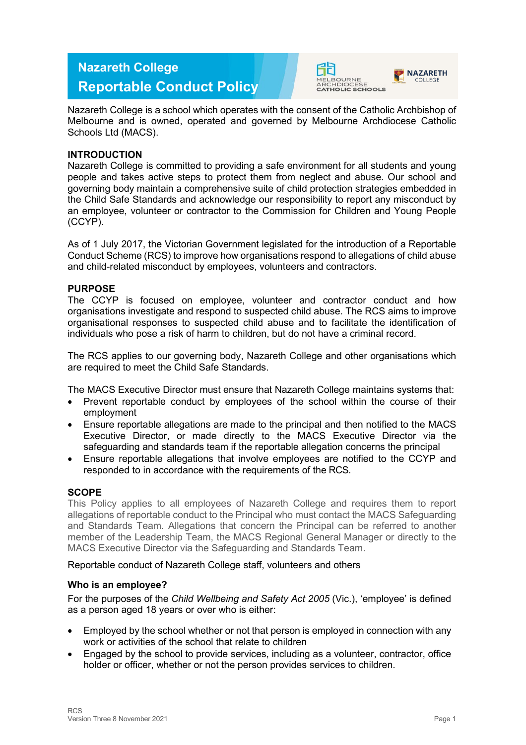# **Nazareth College Reportable Conduct Policy**



Nazareth College is a school which operates with the consent of the Catholic Archbishop of Melbourne and is owned, operated and governed by Melbourne Archdiocese Catholic Schools Ltd (MACS).

# **INTRODUCTION**

Nazareth College is committed to providing a safe environment for all students and young people and takes active steps to protect them from neglect and abuse. Our school and governing body maintain a comprehensive suite of child protection strategies embedded in the Child Safe Standards and acknowledge our responsibility to report any misconduct by an employee, volunteer or contractor to the Commission for Children and Young People (CCYP).

As of 1 July 2017, the Victorian Government legislated for the introduction of a Reportable Conduct Scheme (RCS) to improve how organisations respond to allegations of child abuse and child-related misconduct by employees, volunteers and contractors.

## **PURPOSE**

The CCYP is focused on employee, volunteer and contractor conduct and how organisations investigate and respond to suspected child abuse. The RCS aims to improve organisational responses to suspected child abuse and to facilitate the identification of individuals who pose a risk of harm to children, but do not have a criminal record.

The RCS applies to our governing body, Nazareth College and other organisations which are required to meet the Child Safe Standards.

The MACS Executive Director must ensure that Nazareth College maintains systems that:

- Prevent reportable conduct by employees of the school within the course of their employment
- Ensure reportable allegations are made to the principal and then notified to the MACS Executive Director, or made directly to the MACS Executive Director via the safeguarding and standards team if the reportable allegation concerns the principal
- Ensure reportable allegations that involve employees are notified to the CCYP and responded to in accordance with the requirements of the RCS.

## **SCOPE**

This Policy applies to all employees of Nazareth College and requires them to report allegations of reportable conduct to the Principal who must contact the MACS Safeguarding and Standards Team. Allegations that concern the Principal can be referred to another member of the Leadership Team, the MACS Regional General Manager or directly to the MACS Executive Director via the Safeguarding and Standards Team.

Reportable conduct of Nazareth College staff, volunteers and others

## **Who is an employee?**

For the purposes of the *Child Wellbeing and Safety Act 2005* (Vic.), 'employee' is defined as a person aged 18 years or over who is either:

- Employed by the school whether or not that person is employed in connection with any work or activities of the school that relate to children
- Engaged by the school to provide services, including as a volunteer, contractor, office holder or officer, whether or not the person provides services to children.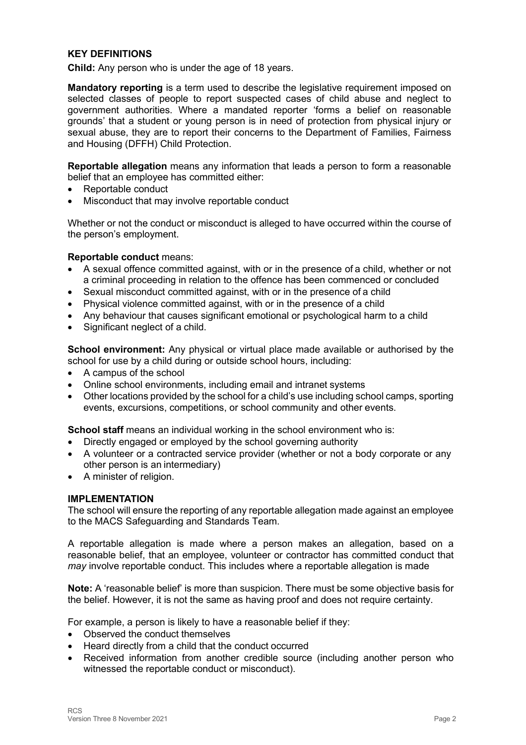# **KEY DEFINITIONS**

**Child:** Any person who is under the age of 18 years.

**Mandatory reporting** is a term used to describe the legislative requirement imposed on selected classes of people to report suspected cases of child abuse and neglect to government authorities. Where a mandated reporter 'forms a belief on reasonable grounds' that a student or young person is in need of protection from physical injury or sexual abuse, they are to report their concerns to the Department of Families, Fairness and Housing (DFFH) Child Protection.

**Reportable allegation** means any information that leads a person to form a reasonable belief that an employee has committed either:

- Reportable conduct
- Misconduct that may involve reportable conduct

Whether or not the conduct or misconduct is alleged to have occurred within the course of the person's employment.

#### **Reportable conduct** means:

- A sexual offence committed against, with or in the presence of a child, whether or not a criminal proceeding in relation to the offence has been commenced or concluded
- Sexual misconduct committed against, with or in the presence of a child
- Physical violence committed against, with or in the presence of a child
- Any behaviour that causes significant emotional or psychological harm to a child
- Significant neglect of a child.

**School environment:** Any physical or virtual place made available or authorised by the school for use by a child during or outside school hours, including:

- A campus of the school
- Online school environments, including email and intranet systems
- Other locations provided by the school for a child's use including school camps, sporting events, excursions, competitions, or school community and other events.

**School staff** means an individual working in the school environment who is:

- Directly engaged or employed by the school governing authority
- A volunteer or a contracted service provider (whether or not a body corporate or any other person is an intermediary)
- A minister of religion.

#### **IMPLEMENTATION**

The school will ensure the reporting of any reportable allegation made against an employee to the MACS Safeguarding and Standards Team.

A reportable allegation is made where a person makes an allegation, based on a reasonable belief, that an employee, volunteer or contractor has committed conduct that *may* involve reportable conduct. This includes where a reportable allegation is made

**Note:** A 'reasonable belief' is more than suspicion. There must be some objective basis for the belief. However, it is not the same as having proof and does not require certainty.

For example, a person is likely to have a reasonable belief if they:

- Observed the conduct themselves
- Heard directly from a child that the conduct occurred
- Received information from another credible source (including another person who witnessed the reportable conduct or misconduct).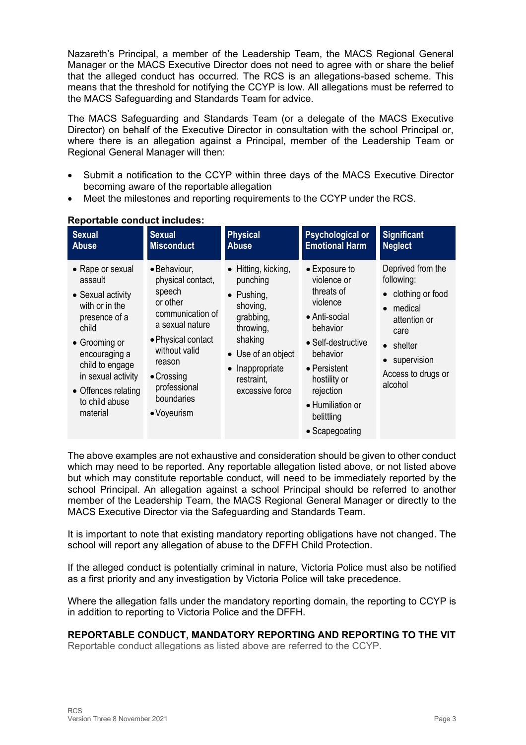Nazareth's Principal, a member of the Leadership Team, the MACS Regional General Manager or the MACS Executive Director does not need to agree with or share the belief that the alleged conduct has occurred. The RCS is an allegations-based scheme. This means that the threshold for notifying the CCYP is low. All allegations must be referred to the MACS Safeguarding and Standards Team for advice.

The MACS Safeguarding and Standards Team (or a delegate of the MACS Executive Director) on behalf of the Executive Director in consultation with the school Principal or, where there is an allegation against a Principal, member of the Leadership Team or Regional General Manager will then:

- Submit a notification to the CCYP within three days of the MACS Executive Director becoming aware of the reportable allegation
- Meet the milestones and reporting requirements to the CCYP under the RCS.

| <b>Sexual</b>                                                                                                                                                                                                                | <b>Sexual</b>                                                                                                                                                                                                      | <b>Physical</b>                                                                                                                                                                          | <b>Psychological or</b>                                                                                                                                                                                                | <b>Significant</b>                                                                                                                                            |
|------------------------------------------------------------------------------------------------------------------------------------------------------------------------------------------------------------------------------|--------------------------------------------------------------------------------------------------------------------------------------------------------------------------------------------------------------------|------------------------------------------------------------------------------------------------------------------------------------------------------------------------------------------|------------------------------------------------------------------------------------------------------------------------------------------------------------------------------------------------------------------------|---------------------------------------------------------------------------------------------------------------------------------------------------------------|
| <b>Abuse</b>                                                                                                                                                                                                                 | <b>Misconduct</b>                                                                                                                                                                                                  | <b>Abuse</b>                                                                                                                                                                             | <b>Emotional Harm</b>                                                                                                                                                                                                  | <b>Neglect</b>                                                                                                                                                |
| • Rape or sexual<br>assault<br>• Sexual activity<br>with or in the<br>presence of a<br>child<br>• Grooming or<br>encouraging a<br>child to engage<br>in sexual activity<br>• Offences relating<br>to child abuse<br>material | · Behaviour,<br>physical contact,<br>speech<br>or other<br>communication of<br>a sexual nature<br>• Physical contact<br>without valid<br>reason<br>$\bullet$ Crossing<br>professional<br>boundaries<br>• Voyeurism | $\bullet$ Hitting, kicking,<br>punching<br>$\bullet$ Pushing,<br>shoving,<br>grabbing,<br>throwing,<br>shaking<br>• Use of an object<br>• Inappropriate<br>restraint,<br>excessive force | • Exposure to<br>violence or<br>threats of<br>violence<br>• Anti-social<br>behavior<br>• Self-destructive<br>behavior<br>• Persistent<br>hostility or<br>rejection<br>• Humiliation or<br>belittling<br>• Scapegoating | Deprived from the<br>following:<br>• clothing or food<br>medical<br>attention or<br>care<br>$\bullet$ shelter<br>supervision<br>Access to drugs or<br>alcohol |

#### **Reportable conduct includes:**

The above examples are not exhaustive and consideration should be given to other conduct which may need to be reported. Any reportable allegation listed above, or not listed above but which may constitute reportable conduct, will need to be immediately reported by the school Principal. An allegation against a school Principal should be referred to another member of the Leadership Team, the MACS Regional General Manager or directly to the MACS Executive Director via the Safeguarding and Standards Team.

It is important to note that existing mandatory reporting obligations have not changed. The school will report any allegation of abuse to the DFFH Child Protection.

If the alleged conduct is potentially criminal in nature, Victoria Police must also be notified as a first priority and any investigation by Victoria Police will take precedence.

Where the allegation falls under the mandatory reporting domain, the reporting to CCYP is in addition to reporting to Victoria Police and the DFFH.

## **REPORTABLE CONDUCT, MANDATORY REPORTING AND REPORTING TO THE VIT**

Reportable conduct allegations as listed above are referred to the CCYP.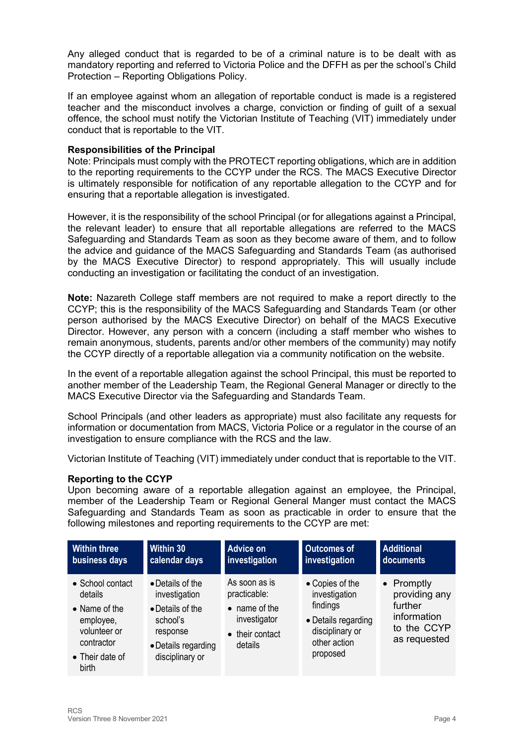Any alleged conduct that is regarded to be of a criminal nature is to be dealt with as mandatory reporting and referred to Victoria Police and the DFFH as per the school's Child Protection – Reporting Obligations Policy.

If an employee against whom an allegation of reportable conduct is made is a registered teacher and the misconduct involves a charge, conviction or finding of guilt of a sexual offence, the school must notify the Victorian Institute of Teaching (VIT) immediately under conduct that is reportable to the VIT.

## **Responsibilities of the Principal**

Note: Principals must comply with the PROTECT reporting obligations, which are in addition to the reporting requirements to the CCYP under the RCS. The MACS Executive Director is ultimately responsible for notification of any reportable allegation to the CCYP and for ensuring that a reportable allegation is investigated.

However, it is the responsibility of the school Principal (or for allegations against a Principal, the relevant leader) to ensure that all reportable allegations are referred to the MACS Safeguarding and Standards Team as soon as they become aware of them, and to follow the advice and guidance of the MACS Safeguarding and Standards Team (as authorised by the MACS Executive Director) to respond appropriately. This will usually include conducting an investigation or facilitating the conduct of an investigation.

**Note:** Nazareth College staff members are not required to make a report directly to the CCYP; this is the responsibility of the MACS Safeguarding and Standards Team (or other person authorised by the MACS Executive Director) on behalf of the MACS Executive Director. However, any person with a concern (including a staff member who wishes to remain anonymous, students, parents and/or other members of the community) may notify the CCYP directly of a reportable allegation via a community notification on the website.

In the event of a reportable allegation against the school Principal, this must be reported to another member of the Leadership Team, the Regional General Manager or directly to the MACS Executive Director via the Safeguarding and Standards Team.

School Principals (and other leaders as appropriate) must also facilitate any requests for information or documentation from MACS, Victoria Police or a regulator in the course of an investigation to ensure compliance with the RCS and the law.

Victorian Institute of Teaching (VIT) immediately under conduct that is reportable to the VIT.

# **Reporting to the CCYP**

Upon becoming aware of a reportable allegation against an employee, the Principal, member of the Leadership Team or Regional General Manger must contact the MACS Safeguarding and Standards Team as soon as practicable in order to ensure that the following milestones and reporting requirements to the CCYP are met:

| <b>Within three</b>                                                                                                 | Within 30                                                                                                               | <b>Advice on</b>                                                                             | <b>Outcomes of</b>                                                                                                 | <b>Additional</b>                                                                            |
|---------------------------------------------------------------------------------------------------------------------|-------------------------------------------------------------------------------------------------------------------------|----------------------------------------------------------------------------------------------|--------------------------------------------------------------------------------------------------------------------|----------------------------------------------------------------------------------------------|
| business days                                                                                                       | calendar days                                                                                                           | investigation                                                                                | investigation                                                                                                      | documents                                                                                    |
| • School contact<br>details<br>• Name of the<br>employee,<br>volunteer or<br>contractor<br>• Their date of<br>birth | • Details of the<br>investigation<br>• Details of the<br>school's<br>response<br>• Details regarding<br>disciplinary or | As soon as is<br>practicable:<br>• name of the<br>investigator<br>• their contact<br>details | • Copies of the<br>investigation<br>findings<br>• Details regarding<br>disciplinary or<br>other action<br>proposed | $\bullet$ Promptly<br>providing any<br>further<br>information<br>to the CCYP<br>as requested |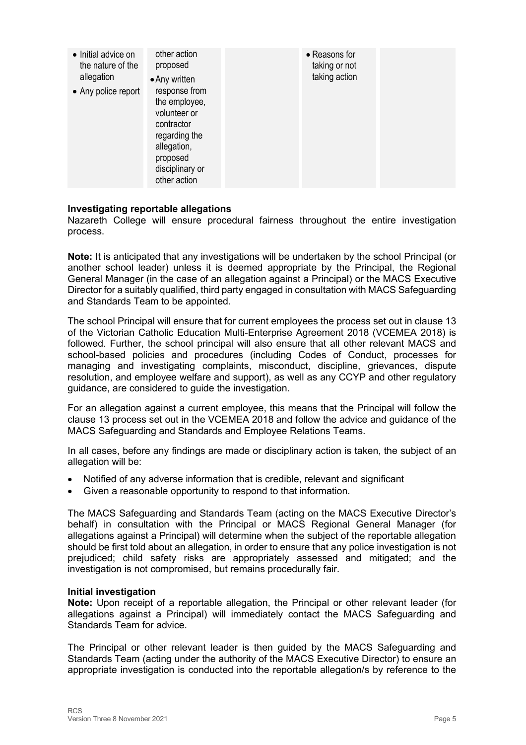| • Initial advice on<br>the nature of the<br>allegation<br>• Any police report | other action<br>proposed<br>• Any written<br>response from<br>the employee,<br>volunteer or<br>contractor<br>regarding the<br>allegation,<br>proposed<br>disciplinary or<br>other action |  | • Reasons for<br>taking or not<br>taking action |  |
|-------------------------------------------------------------------------------|------------------------------------------------------------------------------------------------------------------------------------------------------------------------------------------|--|-------------------------------------------------|--|
|-------------------------------------------------------------------------------|------------------------------------------------------------------------------------------------------------------------------------------------------------------------------------------|--|-------------------------------------------------|--|

## **Investigating reportable allegations**

Nazareth College will ensure procedural fairness throughout the entire investigation process.

**Note:** It is anticipated that any investigations will be undertaken by the school Principal (or another school leader) unless it is deemed appropriate by the Principal, the Regional General Manager (in the case of an allegation against a Principal) or the MACS Executive Director for a suitably qualified, third party engaged in consultation with MACS Safeguarding and Standards Team to be appointed.

The school Principal will ensure that for current employees the process set out in clause 13 of the Victorian Catholic Education Multi-Enterprise Agreement 2018 (VCEMEA 2018) is followed. Further, the school principal will also ensure that all other relevant MACS and school-based policies and procedures (including Codes of Conduct, processes for managing and investigating complaints, misconduct, discipline, grievances, dispute resolution, and employee welfare and support), as well as any CCYP and other regulatory guidance, are considered to guide the investigation.

For an allegation against a current employee, this means that the Principal will follow the clause 13 process set out in the VCEMEA 2018 and follow the advice and guidance of the MACS Safeguarding and Standards and Employee Relations Teams.

In all cases, before any findings are made or disciplinary action is taken, the subject of an allegation will be:

- Notified of any adverse information that is credible, relevant and significant
- Given a reasonable opportunity to respond to that information.

The MACS Safeguarding and Standards Team (acting on the MACS Executive Director's behalf) in consultation with the Principal or MACS Regional General Manager (for allegations against a Principal) will determine when the subject of the reportable allegation should be first told about an allegation, in order to ensure that any police investigation is not prejudiced; child safety risks are appropriately assessed and mitigated; and the investigation is not compromised, but remains procedurally fair.

#### **Initial investigation**

**Note:** Upon receipt of a reportable allegation, the Principal or other relevant leader (for allegations against a Principal) will immediately contact the MACS Safeguarding and Standards Team for advice.

The Principal or other relevant leader is then guided by the MACS Safeguarding and Standards Team (acting under the authority of the MACS Executive Director) to ensure an appropriate investigation is conducted into the reportable allegation/s by reference to the